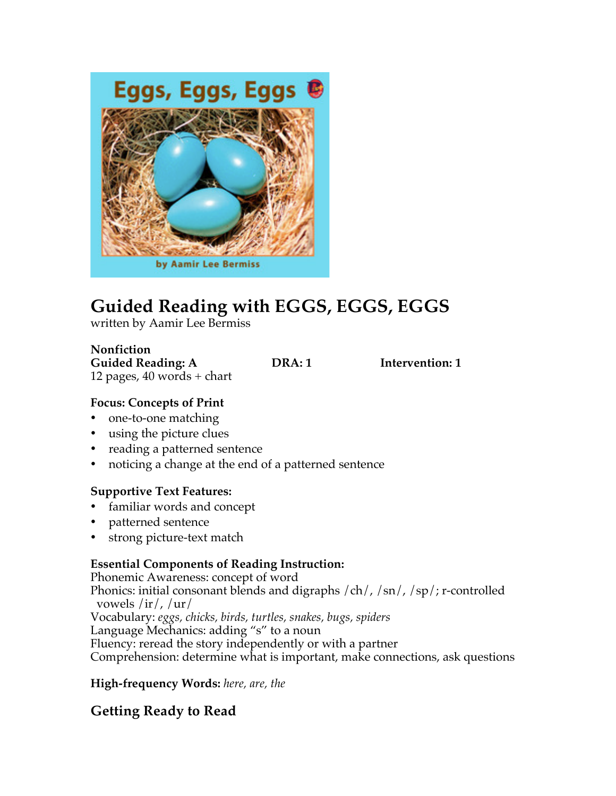

# **Guided Reading with EGGS, EGGS, EGGS**

written by Aamir Lee Bermiss

**Nonfiction Guided Reading: A DRA: 1 Intervention: 1** 12 pages,  $40$  words + chart

#### **Focus: Concepts of Print**

- one-to-one matching
- using the picture clues
- reading a patterned sentence
- noticing a change at the end of a patterned sentence

### **Supportive Text Features:**

- familiar words and concept
- patterned sentence
- strong picture-text match

### **Essential Components of Reading Instruction:**

Phonemic Awareness: concept of word Phonics: initial consonant blends and digraphs /ch/, /sn/, /sp/; r-controlled vowels /ir/, /ur/ Vocabulary: *eggs, chicks, birds, turtles, snakes, bugs, spiders*  Language Mechanics: adding "s" to a noun Fluency: reread the story independently or with a partner Comprehension: determine what is important, make connections, ask questions

**High-frequency Words:** *here, are, the*

## **Getting Ready to Read**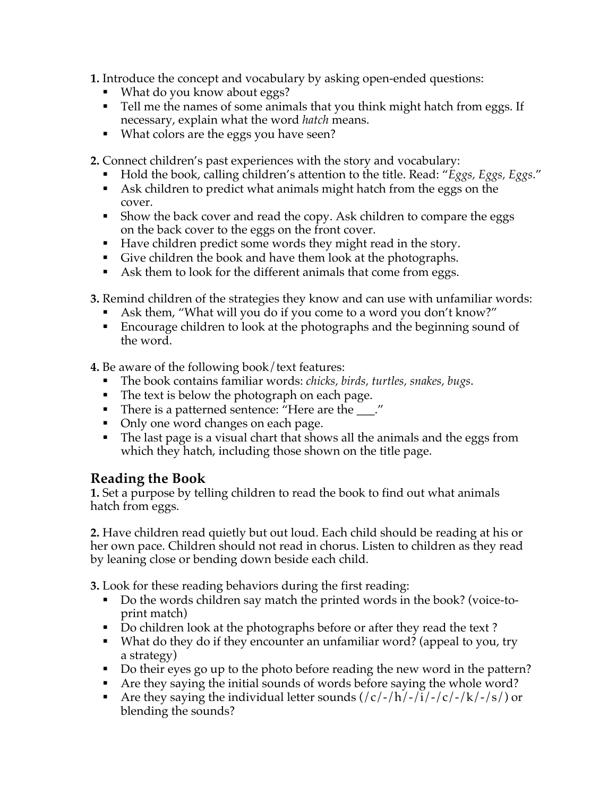**1.** Introduce the concept and vocabulary by asking open-ended questions:

- What do you know about eggs?
- Tell me the names of some animals that you think might hatch from eggs. If necessary, explain what the word *hatch* means.
- What colors are the eggs you have seen?

**2.** Connect children's past experiences with the story and vocabulary:

- Hold the book, calling children's attention to the title. Read: "*Eggs, Eggs, Eggs.*"
- § Ask children to predict what animals might hatch from the eggs on the cover.
- Show the back cover and read the copy. Ask children to compare the eggs on the back cover to the eggs on the front cover.
- Have children predict some words they might read in the story.
- Give children the book and have them look at the photographs.
- Ask them to look for the different animals that come from eggs.
- **3.** Remind children of the strategies they know and can use with unfamiliar words:
	- Ask them, "What will you do if you come to a word you don't know?"
	- Encourage children to look at the photographs and the beginning sound of the word.

**4.** Be aware of the following book/text features:

- § The book contains familiar words: *chicks, birds, turtles, snakes, bugs*.
- The text is below the photograph on each page.
- There is a patterned sentence: "Here are the \_\_\_."
- Only one word changes on each page.
- The last page is a visual chart that shows all the animals and the eggs from which they hatch, including those shown on the title page.

## **Reading the Book**

**1.** Set a purpose by telling children to read the book to find out what animals hatch from eggs.

**2.** Have children read quietly but out loud. Each child should be reading at his or her own pace. Children should not read in chorus. Listen to children as they read by leaning close or bending down beside each child.

**3.** Look for these reading behaviors during the first reading:

- § Do the words children say match the printed words in the book? (voice-toprint match)
- Do children look at the photographs before or after they read the text?
- § What do they do if they encounter an unfamiliar word? (appeal to you, try a strategy)
- Do their eyes go up to the photo before reading the new word in the pattern?
- § Are they saying the initial sounds of words before saying the whole word?
- Are they saying the individual letter sounds  $\frac{\frac{1}{c}}{\frac{1}{c}}$  /  $\frac{1}{c}$  /  $\frac{1}{c}$  /  $\frac{1}{c}$  /  $\frac{s}{s}$  or blending the sounds?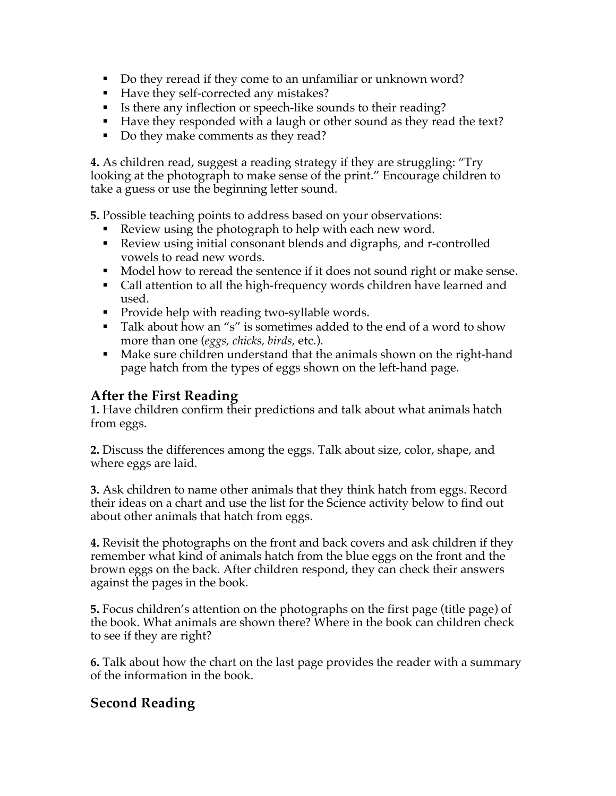- Do they reread if they come to an unfamiliar or unknown word?
- Have they self-corrected any mistakes?
- Is there any inflection or speech-like sounds to their reading?
- Have they responded with a laugh or other sound as they read the text?
- § Do they make comments as they read?

**4.** As children read, suggest a reading strategy if they are struggling: "Try looking at the photograph to make sense of the print." Encourage children to take a guess or use the beginning letter sound.

**5.** Possible teaching points to address based on your observations:

- Review using the photograph to help with each new word.
- § Review using initial consonant blends and digraphs, and r-controlled vowels to read new words.
- § Model how to reread the sentence if it does not sound right or make sense.
- Call attention to all the high-frequency words children have learned and used.
- Provide help with reading two-syllable words.
- Talk about how an "s" is sometimes added to the end of a word to show more than one (*eggs, chicks, birds,* etc.).
- Make sure children understand that the animals shown on the right-hand page hatch from the types of eggs shown on the left-hand page.

## **After the First Reading**

**1.** Have children confirm their predictions and talk about what animals hatch from eggs.

**2.** Discuss the differences among the eggs. Talk about size, color, shape, and where eggs are laid.

**3.** Ask children to name other animals that they think hatch from eggs. Record their ideas on a chart and use the list for the Science activity below to find out about other animals that hatch from eggs.

**4.** Revisit the photographs on the front and back covers and ask children if they remember what kind of animals hatch from the blue eggs on the front and the brown eggs on the back. After children respond, they can check their answers against the pages in the book.

**5.** Focus children's attention on the photographs on the first page (title page) of the book. What animals are shown there? Where in the book can children check to see if they are right?

**6.** Talk about how the chart on the last page provides the reader with a summary of the information in the book.

## **Second Reading**